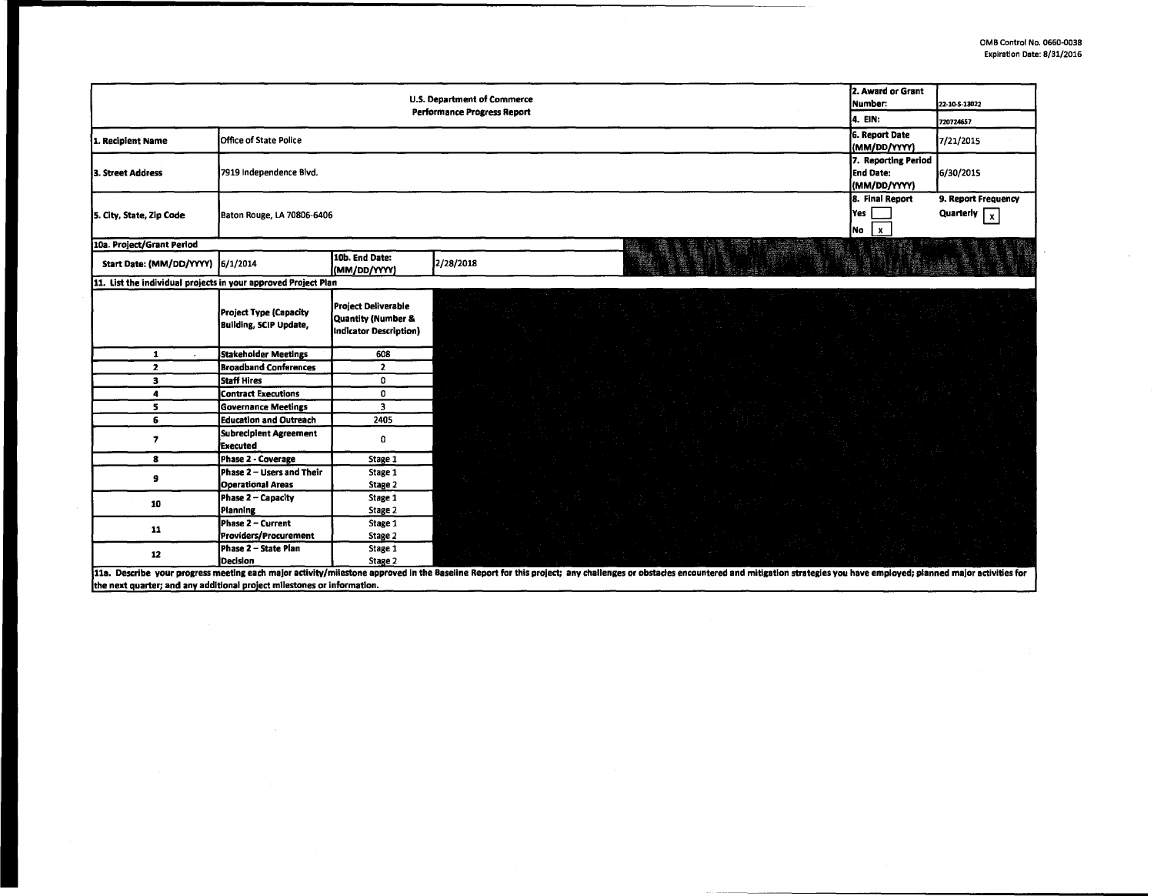|                                                                | 2. Award or Grant                                       |                                                                            |                                                                                                                                                                                                                                |  |
|----------------------------------------------------------------|---------------------------------------------------------|----------------------------------------------------------------------------|--------------------------------------------------------------------------------------------------------------------------------------------------------------------------------------------------------------------------------|--|
|                                                                | <b>U.S. Department of Commerce</b><br>Number:           | 22-10-S-13022                                                              |                                                                                                                                                                                                                                |  |
|                                                                | <b>Performance Progress Report</b><br>4. EIN:           | 720724657                                                                  |                                                                                                                                                                                                                                |  |
| 1. Recipient Name                                              | 6. Report Date                                          | 7/21/2015                                                                  |                                                                                                                                                                                                                                |  |
|                                                                | <b>Office of State Police</b>                           |                                                                            | (MM/DD/YYYY)                                                                                                                                                                                                                   |  |
| 3. Street Address                                              | 7919 Independence Blvd.                                 | 7. Reporting Period<br><b>End Date:</b><br>(MM/DD/YYYY)                    | 6/30/2015                                                                                                                                                                                                                      |  |
| 5. City, State, Zip Code                                       | Baton Rouge, LA 70806-6406                              | 8. Final Report<br>Yes  <br>No<br>l x                                      | 9. Report Frequency<br>Quarterly $\boxed{x}$                                                                                                                                                                                   |  |
| 10a. Project/Grant Period                                      |                                                         |                                                                            |                                                                                                                                                                                                                                |  |
| Start Date: (MM/DD/YYYY) 6/1/2014                              |                                                         | 10b. End Date:<br>(MM/DD/YYYY)                                             | 2/28/2018                                                                                                                                                                                                                      |  |
| 11. List the individual projects in your approved Project Plan |                                                         |                                                                            |                                                                                                                                                                                                                                |  |
|                                                                | Project Type (Capacity<br><b>Building, SCIP Update,</b> | <b>Project Deliverable</b><br>Quantity (Number &<br>Indicator Description) |                                                                                                                                                                                                                                |  |
| $\mathbf{1}$                                                   | <b>Stakeholder Meetings</b>                             | 608                                                                        |                                                                                                                                                                                                                                |  |
| $\mathbf{z}$                                                   | <b>Broadband Conferences</b>                            | $\overline{2}$                                                             |                                                                                                                                                                                                                                |  |
| з                                                              | <b>Staff Hires</b>                                      | $\mathbf 0$                                                                |                                                                                                                                                                                                                                |  |
| 4                                                              | <b>Contract Executions</b>                              | 0                                                                          |                                                                                                                                                                                                                                |  |
| 5                                                              | <b>Governance Meetings</b>                              | $\overline{\mathbf{3}}$                                                    |                                                                                                                                                                                                                                |  |
| 6                                                              | <b>Education and Outreach</b>                           | 2405                                                                       |                                                                                                                                                                                                                                |  |
| $\overline{\phantom{a}}$                                       | Subrecipient Agreement<br><b>Executed</b>               | $\mathbf 0$                                                                |                                                                                                                                                                                                                                |  |
| 8                                                              | Phase 2 - Coverage                                      | Stage 1                                                                    |                                                                                                                                                                                                                                |  |
| 9                                                              | Phase 2 - Users and Their                               | Stage 1                                                                    |                                                                                                                                                                                                                                |  |
|                                                                | <b>Operational Areas</b>                                | Stage 2                                                                    |                                                                                                                                                                                                                                |  |
| 10                                                             | Phase 2 - Capacity                                      | Stage 1                                                                    |                                                                                                                                                                                                                                |  |
|                                                                | Planning                                                | Stage 2                                                                    |                                                                                                                                                                                                                                |  |
| 11                                                             | Phase 2 – Current                                       | Stage 1                                                                    |                                                                                                                                                                                                                                |  |
|                                                                | Providers/Procurement                                   | Stage 2                                                                    |                                                                                                                                                                                                                                |  |
| 12                                                             | Phase 2 - State Plan                                    | Stage 1                                                                    |                                                                                                                                                                                                                                |  |
|                                                                | Decision                                                | Stage 2                                                                    | 11a. Describe your progress meeting each major activity/milestone approved in the Baseline Report for this project; any challenges or obstacles encountered and mitigation strategies you have employed; planned major activit |  |

11a. Describe your progress meeting each major activity/milestone approved in<br>the next quarter; and any additional project milestones or information. base eport tor s project; пу. ges v icies (

 $\sim$   $\alpha$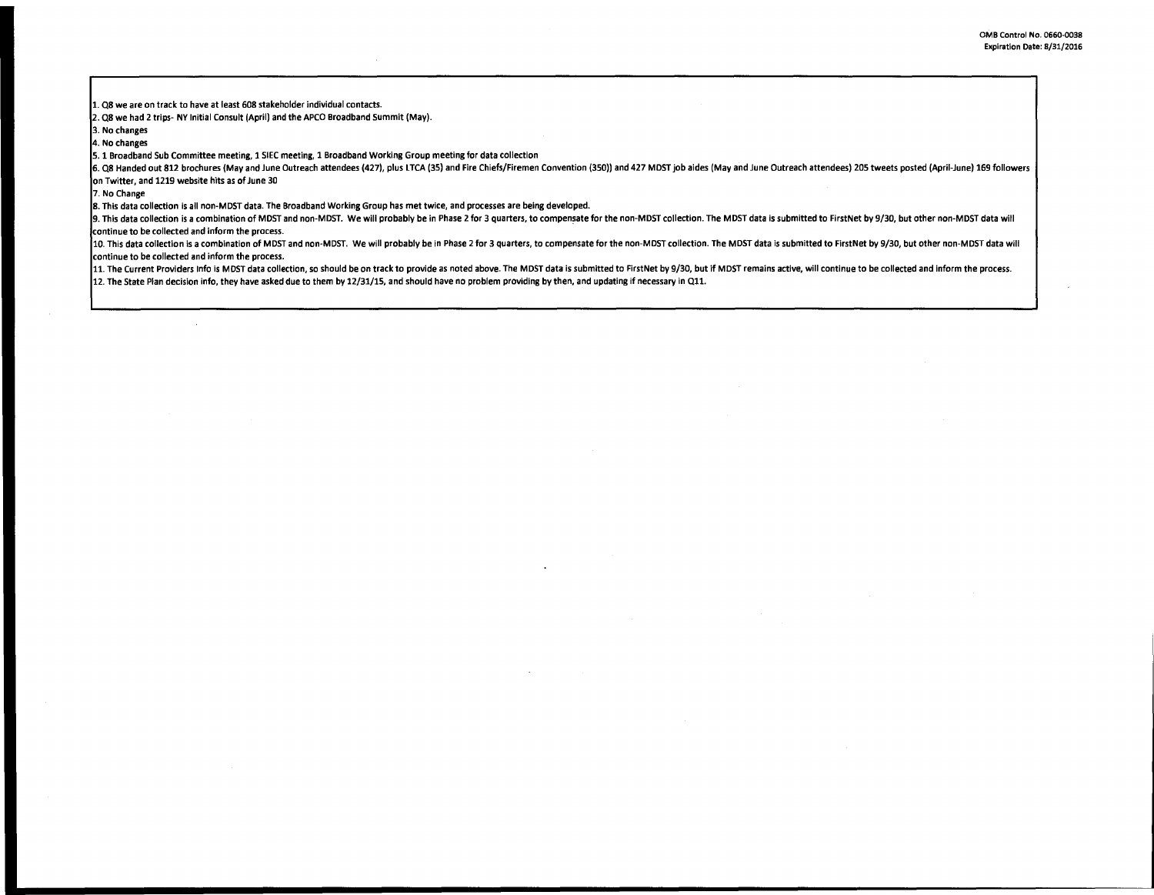1. Q8 we are on track to have at least 608 stakeholder individual contacts.

 $\lambda$ 

2. Q8 we had 2 trips- NY Initial Consult (April) and the APCO Broadband Summit (May).

3. No changes

4. No changes

S. 1 Broadband Sub Committee meeting, 1 SIEC meeting, 1 Broadband Working Group meeting for data collection

6. Q8 Handed out 812 brochures (May and June Outreach attendees (427), plus LTCA (35) and Fire Chiefs/Firemen Convention (350)) and 427 MDST job aides (May and June Outreach attendees) 205 tweets posted (April-June) 169 fo on Twitter, and 1219 website hits as of June 30

7. No Change

8. This data collection is all non-MOST data. The Broadband Working Group has met twice, and processes are being developed.

9. This data collection is a combination of MDST and non-MDST. We will probably be in Phase 2 for 3 quarters, to compensate for the non-MDST collection. The MDST data is submitted to FirstNet by 9/30, but other non-MDST da continue to be collected and inform the process.

10. This data collection is a combination of MDST and non-MDST. We will probably be in Phase 2 for 3 quarters, to compensate for the non-MDST collection. The MDST data is submitted to FirstNet by 9/30, but other non-MDST d continue to be collected and inform the process.

11. The Current Providers Info is MDST data collection, so should be on track to provide as noted above. The MDST data is submitted to FirstNet by 9/30, but if MDST remains active, will continue to be collected and inform

12. The State Plan decision info, they have asked due to them by 12/31/1S, and should have no problem providing by then, and updating if necessary in Qll.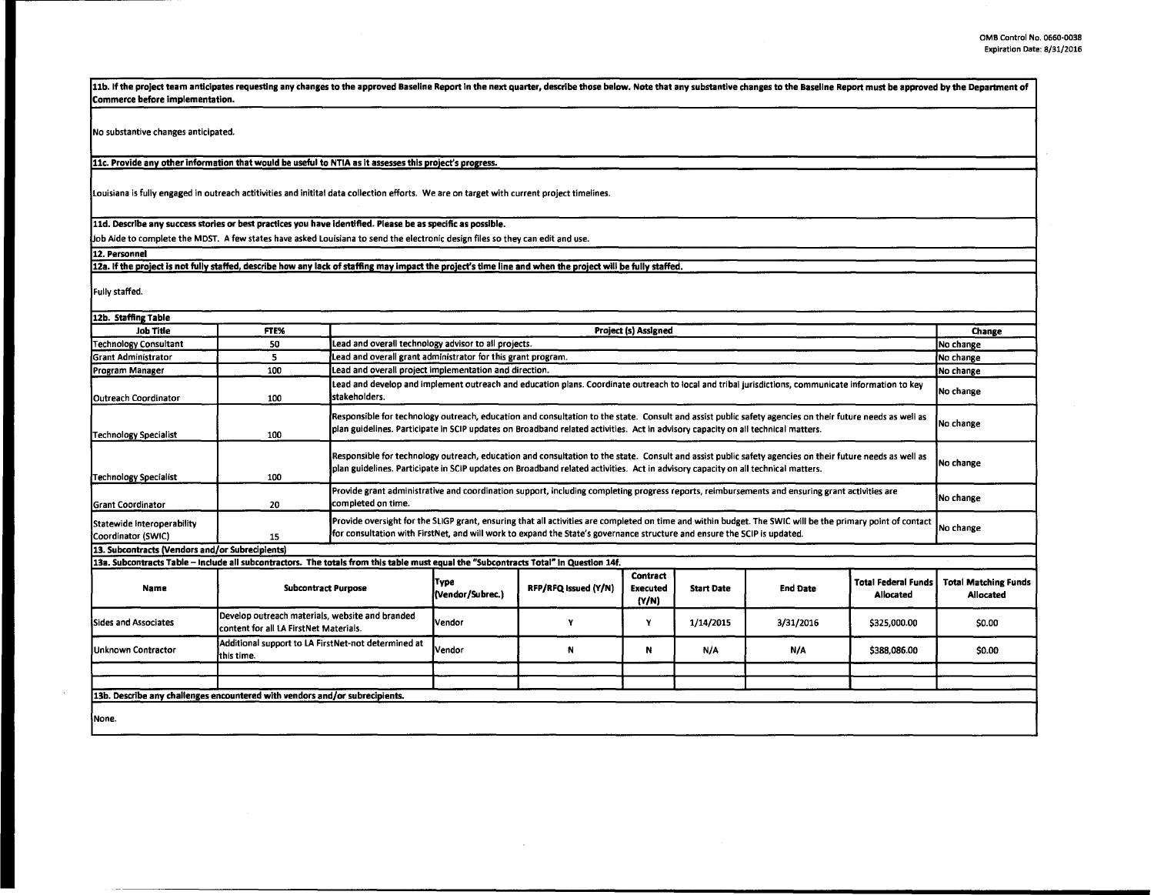11b. If the project team anticipates requesting any changes to the approved Baseline Report in the next quarter, describe those below. Note that any substantive changes to the Baseline Report must be approved by the Depart Commerce before implementation.

No substantive changes anticipated.

11c. Provide any other information that would be useful to NTIA as it assesses this project's progress.

Louisiana is fully engaged in outreach actitivities and initital data collection efforts. We are on target with current project timelines.

11d. Describe any success stories or best practices you have identified. Please be as specific as possible.

Job Aide to complete the MOST. A few states have asked Louisiana to send the electronic design files so they can edit and use.

12. Personnel

12a. If the project is not fully staffed, describe how any lack of staffing may impact the project's time line and when the project will be fully staffed.

Fully staffed.

| 12b. Staffing Table                                                                                                                   |                                                                                           |                                                                                                                                                                                                                                                                                              |                                                                                                                                                    |                      |                                      |                   |                 |                                         |                                                 |
|---------------------------------------------------------------------------------------------------------------------------------------|-------------------------------------------------------------------------------------------|----------------------------------------------------------------------------------------------------------------------------------------------------------------------------------------------------------------------------------------------------------------------------------------------|----------------------------------------------------------------------------------------------------------------------------------------------------|----------------------|--------------------------------------|-------------------|-----------------|-----------------------------------------|-------------------------------------------------|
| <b>Job Title</b>                                                                                                                      | FTE%                                                                                      | Project (s) Assigned                                                                                                                                                                                                                                                                         |                                                                                                                                                    |                      |                                      |                   |                 | Change                                  |                                                 |
| Technology Consultant                                                                                                                 | 50                                                                                        |                                                                                                                                                                                                                                                                                              | Lead and overall technology advisor to all projects.                                                                                               |                      |                                      |                   |                 |                                         | No change                                       |
| iGrant Administrator                                                                                                                  | 5                                                                                         |                                                                                                                                                                                                                                                                                              | Lead and overall grant administrator for this grant program.<br>No change                                                                          |                      |                                      |                   |                 |                                         |                                                 |
| Program Manager                                                                                                                       | 100                                                                                       | Lead and overall project implementation and direction.                                                                                                                                                                                                                                       |                                                                                                                                                    |                      |                                      |                   |                 | No change                               |                                                 |
| <b>IOutreach Coordinator</b>                                                                                                          | 100                                                                                       | stakeholders.                                                                                                                                                                                                                                                                                | Lead and develop and implement outreach and education plans. Coordinate outreach to local and tribal jurisdictions, communicate information to key |                      |                                      |                   |                 |                                         | No change                                       |
| Technology Specialist                                                                                                                 | 100                                                                                       | Responsible for technology outreach, education and consultation to the state. Consult and assist public safety agencies on their future needs as well as<br>plan guidelines. Participate in SCIP updates on Broadband related activities. Act in advisory capacity on all technical matters. |                                                                                                                                                    |                      |                                      |                   |                 |                                         | INo change                                      |
| Technology Specialist                                                                                                                 | 100                                                                                       | Responsible for technology outreach, education and consultation to the state. Consult and assist public safety agencies on their future needs as well as<br>plan guidelines. Participate in SCIP updates on Broadband related activities. Act in advisory capacity on all technical matters. |                                                                                                                                                    |                      |                                      |                   |                 |                                         | No change                                       |
| <b>I</b> Grant Coordinator                                                                                                            | 20                                                                                        | Provide grant administrative and coordination support, including completing progress reports, reimbursements and ensuring grant activities are<br>completed on time.                                                                                                                         |                                                                                                                                                    |                      |                                      |                   |                 |                                         | No change                                       |
| Statewide Interoperability<br>Coordinator (SWIC)                                                                                      | 15                                                                                        | Provide oversight for the SLIGP grant, ensuring that all activities are completed on time and within budget. The SWIC will be the primary point of contact<br>for consultation with FirstNet, and will work to expand the State's governance structure and ensure the SCIP is updated.       |                                                                                                                                                    |                      |                                      |                   |                 |                                         | No change                                       |
| 13. Subcontracts (Vendors and/or Subrecipients)                                                                                       |                                                                                           |                                                                                                                                                                                                                                                                                              |                                                                                                                                                    |                      |                                      |                   |                 |                                         |                                                 |
| 13a. Subcontracts Table - Include all subcontractors. The totals from this table must equal the "Subcontracts Total" in Question 14f. |                                                                                           |                                                                                                                                                                                                                                                                                              |                                                                                                                                                    |                      |                                      |                   |                 |                                         |                                                 |
| <b>Name</b>                                                                                                                           |                                                                                           | <b>Subcontract Purpose</b><br>(Vendor/Subrec.)                                                                                                                                                                                                                                               |                                                                                                                                                    | RFP/RFQ Issued (Y/N) | Contract<br><b>Executed</b><br>(Y/N) | <b>Start Date</b> | <b>End Date</b> | <b>Total Federal Funds</b><br>Allocated | <b>Total Matching Funds</b><br><b>Allocated</b> |
| <b>Sides and Associates</b>                                                                                                           | Develop outreach materials, website and branded<br>content for all LA FirstNet Materials. |                                                                                                                                                                                                                                                                                              | <b>Nendor</b>                                                                                                                                      |                      | Y                                    | 1/14/2015         | 3/31/2016       | \$325,000.00                            | \$0.00                                          |
| <b>Unknown Contractor</b>                                                                                                             | Additional support to LA FirstNet-not determined at<br>lthis time.                        |                                                                                                                                                                                                                                                                                              | <b>Nendor</b>                                                                                                                                      | N                    | N                                    | N/A               | N/A             | \$388,086.00                            | \$0.00                                          |
|                                                                                                                                       |                                                                                           |                                                                                                                                                                                                                                                                                              |                                                                                                                                                    |                      |                                      |                   |                 |                                         |                                                 |
|                                                                                                                                       |                                                                                           |                                                                                                                                                                                                                                                                                              |                                                                                                                                                    |                      |                                      |                   |                 |                                         |                                                 |
| 13b. Describe any challenges encountered with vendors and/or subrecipients.                                                           |                                                                                           |                                                                                                                                                                                                                                                                                              |                                                                                                                                                    |                      |                                      |                   |                 |                                         |                                                 |
| Wone.                                                                                                                                 |                                                                                           |                                                                                                                                                                                                                                                                                              |                                                                                                                                                    |                      |                                      |                   |                 |                                         |                                                 |